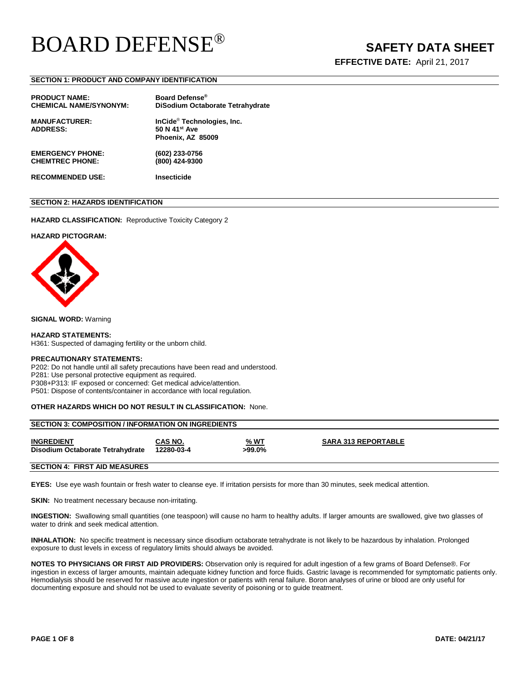**EFFECTIVE DATE:** April 21, 2017

## **SECTION 1: PRODUCT AND COMPANY IDENTIFICATION**

| <b>PRODUCT NAME:</b><br><b>CHEMICAL NAME/SYNONYM:</b> | Board Defense®                         |
|-------------------------------------------------------|----------------------------------------|
|                                                       | DiSodium Octaborate Tetrahydrate       |
| <b>MANUFACTURER:</b>                                  | InCide <sup>®</sup> Technologies, Inc. |
| <b>ADDRESS:</b>                                       | 50 N 41 <sup>st</sup> Ave              |
|                                                       | Phoenix, AZ 85009                      |
| <b>EMERGENCY PHONE:</b>                               | (602) 233-0756                         |
| <b>CHEMTREC PHONE:</b>                                | (800) 424-9300                         |
| <b>RECOMMENDED USE:</b>                               | <b>Insecticide</b>                     |

# **SECTION 2: HAZARDS IDENTIFICATION**

**HAZARD CLASSIFICATION:** Reproductive Toxicity Category 2

## **HAZARD PICTOGRAM:**



**SIGNAL WORD:** Warning

#### **HAZARD STATEMENTS:**

H361: Suspected of damaging fertility or the unborn child.

### **PRECAUTIONARY STATEMENTS:**

P202: Do not handle until all safety precautions have been read and understood. P281: Use personal protective equipment as required.

P308+P313: IF exposed or concerned: Get medical advice/attention.

P501: Dispose of contents/container in accordance with local regulation.

# **OTHER HAZARDS WHICH DO NOT RESULT IN CLASSIFICATION:** None.

| <b>SECTION 3: COMPOSITION / INFORMATION ON INGREDIENTS</b> |                       |                       |                            |  |  |
|------------------------------------------------------------|-----------------------|-----------------------|----------------------------|--|--|
| <b>INGREDIENT</b><br>Disodium Octaborate Tetrahydrate      | CAS NO.<br>12280-03-4 | <u>% WT</u><br>>99.0% | <b>SARA 313 REPORTABLE</b> |  |  |
| $C = C$                                                    |                       |                       |                            |  |  |

#### **SECTION 4: FIRST AID MEASURES**

**EYES:** Use eye wash fountain or fresh water to cleanse eye. If irritation persists for more than 30 minutes, seek medical attention.

**SKIN:** No treatment necessary because non-irritating.

**INGESTION:** Swallowing small quantities (one teaspoon) will cause no harm to healthy adults. If larger amounts are swallowed, give two glasses of water to drink and seek medical attention.

**INHALATION:** No specific treatment is necessary since disodium octaborate tetrahydrate is not likely to be hazardous by inhalation. Prolonged exposure to dust levels in excess of regulatory limits should always be avoided.

**NOTES TO PHYSICIANS OR FIRST AID PROVIDERS:** Observation only is required for adult ingestion of a few grams of Board Defense®. For ingestion in excess of larger amounts, maintain adequate kidney function and force fluids. Gastric lavage is recommended for symptomatic patients only. Hemodialysis should be reserved for massive acute ingestion or patients with renal failure. Boron analyses of urine or blood are only useful for documenting exposure and should not be used to evaluate severity of poisoning or to guide treatment.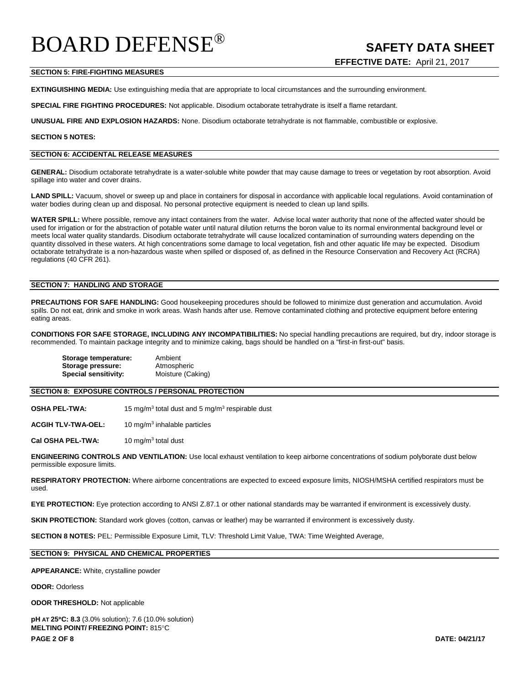# **SECTION 5: FIRE-FIGHTING MEASURES**

**EXTINGUISHING MEDIA:** Use extinguishing media that are appropriate to local circumstances and the surrounding environment.

**SPECIAL FIRE FIGHTING PROCEDURES:** Not applicable. Disodium octaborate tetrahydrate is itself a flame retardant.

**UNUSUAL FIRE AND EXPLOSION HAZARDS:** None. Disodium octaborate tetrahydrate is not flammable, combustible or explosive.

# **SECTION 5 NOTES:**

#### **SECTION 6: ACCIDENTAL RELEASE MEASURES**

**GENERAL:** Disodium octaborate tetrahydrate is a water-soluble white powder that may cause damage to trees or vegetation by root absorption. Avoid spillage into water and cover drains.

LAND SPILL: Vacuum, shovel or sweep up and place in containers for disposal in accordance with applicable local regulations. Avoid contamination of water bodies during clean up and disposal. No personal protective equipment is needed to clean up land spills.

**WATER SPILL:** Where possible, remove any intact containers from the water.Advise local water authority that none of the affected water should be used for irrigation or for the abstraction of potable water until natural dilution returns the boron value to its normal environmental background level or meets local water quality standards. Disodium octaborate tetrahydrate will cause localized contamination of surrounding waters depending on the quantity dissolved in these waters. At high concentrations some damage to local vegetation, fish and other aquatic life may be expected. Disodium octaborate tetrahydrate is a non-hazardous waste when spilled or disposed of, as defined in the Resource Conservation and Recovery Act (RCRA) regulations (40 CFR 261).

## **SECTION 7: HANDLING AND STORAGE**

**PRECAUTIONS FOR SAFE HANDLING:** Good housekeeping procedures should be followed to minimize dust generation and accumulation. Avoid spills. Do not eat, drink and smoke in work areas. Wash hands after use. Remove contaminated clothing and protective equipment before entering eating areas.

**CONDITIONS FOR SAFE STORAGE, INCLUDING ANY INCOMPATIBILITIES:** No special handling precautions are required, but dry, indoor storage is recommended. To maintain package integrity and to minimize caking, bags should be handled on a "first-in first-out" basis.

| Storage temperature:        | Ambient           |
|-----------------------------|-------------------|
| Storage pressure:           | Atmospheric       |
| <b>Special sensitivity:</b> | Moisture (Caking) |

### **SECTION 8: EXPOSURE CONTROLS / PERSONAL PROTECTION**

**OSHA PEL-TWA:** 15 mg/m<sup>3</sup> total dust and 5 mg/m<sup>3</sup> respirable dust

**ACGIH TLV-TWA-OEL:** 10 mg/m3 inhalable particles

**Cal OSHA PEL-TWA:** 10 mg/m3 total dust

**ENGINEERING CONTROLS AND VENTILATION:** Use local exhaust ventilation to keep airborne concentrations of sodium polyborate dust below permissible exposure limits.

**RESPIRATORY PROTECTION:** Where airborne concentrations are expected to exceed exposure limits, NIOSH/MSHA certified respirators must be used.

**EYE PROTECTION:** Eye protection according to ANSI Z.87.1 or other national standards may be warranted if environment is excessively dusty.

**SKIN PROTECTION:** Standard work gloves (cotton, canvas or leather) may be warranted if environment is excessively dusty.

**SECTION 8 NOTES:** PEL: Permissible Exposure Limit, TLV: Threshold Limit Value, TWA: Time Weighted Average,

# **SECTION 9: PHYSICAL AND CHEMICAL PROPERTIES**

#### **APPEARANCE:** White, crystalline powder

#### **ODOR:** Odorless

**ODOR THRESHOLD:** Not applicable

**PAGE 2 OF 8 DATE: 04/21/17 pH AT 25**°**C: 8.3** (3.0% solution); 7.6 (10.0% solution) **MELTING POINT/ FREEZING POINT:** 815°C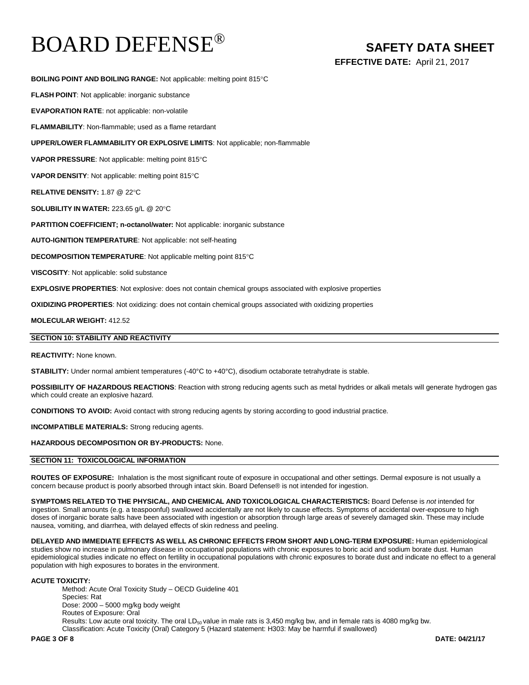**EFFECTIVE DATE:** April 21, 2017

**BOILING POINT AND BOILING RANGE:** Not applicable: melting point 815°C

**FLASH POINT**: Not applicable: inorganic substance

**EVAPORATION RATE**: not applicable: non-volatile

**FLAMMABILITY**: Non-flammable; used as a flame retardant

**UPPER/LOWER FLAMMABILITY OR EXPLOSIVE LIMITS**: Not applicable; non-flammable

**VAPOR PRESSURE**: Not applicable: melting point 815°C

**VAPOR DENSITY**: Not applicable: melting point 815°C

**RELATIVE DENSITY:** 1.87 @ 22°C

**SOLUBILITY IN WATER:** 223.65 g/L @ 20°C

**PARTITION COEFFICIENT; n-octanol/water:** Not applicable: inorganic substance

**AUTO-IGNITION TEMPERATURE**: Not applicable: not self-heating

**DECOMPOSITION TEMPERATURE**: Not applicable melting point 815°C

**VISCOSITY**: Not applicable: solid substance

**EXPLOSIVE PROPERTIES**: Not explosive: does not contain chemical groups associated with explosive properties

**OXIDIZING PROPERTIES**: Not oxidizing: does not contain chemical groups associated with oxidizing properties

**MOLECULAR WEIGHT:** 412.52

# **SECTION 10: STABILITY AND REACTIVITY**

**REACTIVITY:** None known.

**STABILITY:** Under normal ambient temperatures (-40°C to +40°C), disodium octaborate tetrahydrate is stable.

**POSSIBILITY OF HAZARDOUS REACTIONS**: Reaction with strong reducing agents such as metal hydrides or alkali metals will generate hydrogen gas which could create an explosive hazard.

**CONDITIONS TO AVOID:** Avoid contact with strong reducing agents by storing according to good industrial practice.

**INCOMPATIBLE MATERIALS:** Strong reducing agents.

**HAZARDOUS DECOMPOSITION OR BY-PRODUCTS:** None.

# **SECTION 11: TOXICOLOGICAL INFORMATION**

**ROUTES OF EXPOSURE:** Inhalation is the most significant route of exposure in occupational and other settings. Dermal exposure is not usually a concern because product is poorly absorbed through intact skin. Board Defense® is not intended for ingestion.

**SYMPTOMS RELATED TO THE PHYSICAL, AND CHEMICAL AND TOXICOLOGICAL CHARACTERISTICS:** Board Defense is *not* intended for ingestion. Small amounts (e.g. a teaspoonful) swallowed accidentally are not likely to cause effects. Symptoms of accidental over-exposure to high doses of inorganic borate salts have been associated with ingestion or absorption through large areas of severely damaged skin. These may include nausea, vomiting, and diarrhea, with delayed effects of skin redness and peeling.

**DELAYED AND IMMEDIATE EFFECTS AS WELL AS CHRONIC EFFECTS FROM SHORT AND LONG-TERM EXPOSURE:** Human epidemiological studies show no increase in pulmonary disease in occupational populations with chronic exposures to boric acid and sodium borate dust. Human epidemiological studies indicate no effect on fertility in occupational populations with chronic exposures to borate dust and indicate no effect to a general population with high exposures to borates in the environment.

# **ACUTE TOXICITY:**

Method: Acute Oral Toxicity Study – OECD Guideline 401 Species: Rat Dose: 2000 – 5000 mg/kg body weight Routes of Exposure: Oral Results: Low acute oral toxicity. The oral LD<sub>50</sub> value in male rats is 3,450 mg/kg bw, and in female rats is 4080 mg/kg bw. Classification: Acute Toxicity (Oral) Category 5 (Hazard statement: H303: May be harmful if swallowed)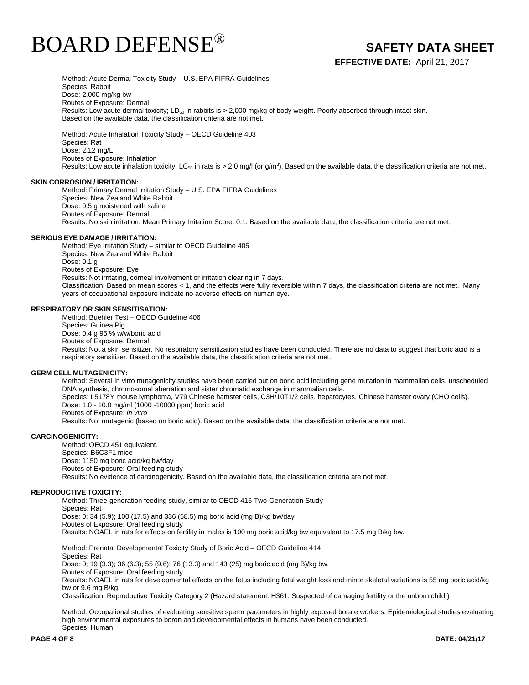

**EFFECTIVE DATE:** April 21, 2017

Method: Acute Dermal Toxicity Study – U.S. EPA FIFRA Guidelines Species: Rabbit Dose: 2,000 mg/kg bw Routes of Exposure: Dermal Results: Low acute dermal toxicity; LD<sub>50</sub> in rabbits is > 2,000 mg/kg of body weight. Poorly absorbed through intact skin. Based on the available data, the classification criteria are not met.

Method: Acute Inhalation Toxicity Study – OECD Guideline 403 Species: Rat Dose: 2.12 mg/L Routes of Exposure: Inhalation Results: Low acute inhalation toxicity; LC $_{50}$  in rats is > 2.0 mg/l (or g/m $^3$ ). Based on the available data, the classification criteria are not met.

#### **SKIN CORROSION / IRRITATION:**

Method: Primary Dermal Irritation Study – U.S. EPA FIFRA Guidelines Species: New Zealand White Rabbit Dose: 0.5 g moistened with saline Routes of Exposure: Dermal Results: No skin irritation. Mean Primary Irritation Score: 0.1. Based on the available data, the classification criteria are not met.

#### **SERIOUS EYE DAMAGE / IRRITATION:**

Method: Eye Irritation Study – similar to OECD Guideline 405 Species: New Zealand White Rabbit Dose: 0.1 g Routes of Exposure: Eye Results: Not irritating, corneal involvement or irritation clearing in 7 days. Classification: Based on mean scores < 1, and the effects were fully reversible within 7 days, the classification criteria are not met. Many years of occupational exposure indicate no adverse effects on human eye.

### **RESPIRATORY OR SKIN SENSITISATION:**

Method: Buehler Test – OECD Guideline 406 Species: Guinea Pig Dose: 0.4 g 95 % w/w/boric acid Routes of Exposure: Dermal Results: Not a skin sensitizer. No respiratory sensitization studies have been conducted. There are no data to suggest that boric acid is a respiratory sensitizer. Based on the available data, the classification criteria are not met.

# **GERM CELL MUTAGENICITY:**

Method: Several in vitro mutagenicity studies have been carried out on boric acid including gene mutation in mammalian cells, unscheduled DNA synthesis, chromosomal aberration and sister chromatid exchange in mammalian cells. Species: L5178Y mouse lymphoma, V79 Chinese hamster cells, C3H/10T1/2 cells, hepatocytes, Chinese hamster ovary (CHO cells). Dose: 1.0 - 10.0 mg/ml (1000 -10000 ppm) boric acid Routes of Exposure: *in vitro* Results: Not mutagenic (based on boric acid). Based on the available data, the classification criteria are not met.

### **CARCINOGENICITY:**

Method: OECD 451 equivalent. Species: B6C3F1 mice Dose: 1150 mg boric acid/kg bw/day Routes of Exposure: Oral feeding study Results: No evidence of carcinogenicity. Based on the available data, the classification criteria are not met.

#### **REPRODUCTIVE TOXICITY:**

Method: Three-generation feeding study, similar to OECD 416 Two-Generation Study Species: Rat Dose: 0; 34 (5.9); 100 (17.5) and 336 (58.5) mg boric acid (mg B)/kg bw/day Routes of Exposure: Oral feeding study Results: NOAEL in rats for effects on fertility in males is 100 mg boric acid/kg bw equivalent to 17.5 mg B/kg bw.

Method: Prenatal Developmental Toxicity Study of Boric Acid – OECD Guideline 414 Species: Rat Dose: 0; 19 (3.3); 36 (6.3); 55 (9.6); 76 (13.3) and 143 (25) mg boric acid (mg B)/kg bw. Routes of Exposure: Oral feeding study Results: NOAEL in rats for developmental effects on the fetus including fetal weight loss and minor skeletal variations is 55 mg boric acid/kg bw or 9.6 mg B/kg.

Classification: Reproductive Toxicity Category 2 (Hazard statement: H361: Suspected of damaging fertility or the unborn child.)

Method: Occupational studies of evaluating sensitive sperm parameters in highly exposed borate workers. Epidemiological studies evaluating high environmental exposures to boron and developmental effects in humans have been conducted. Species: Human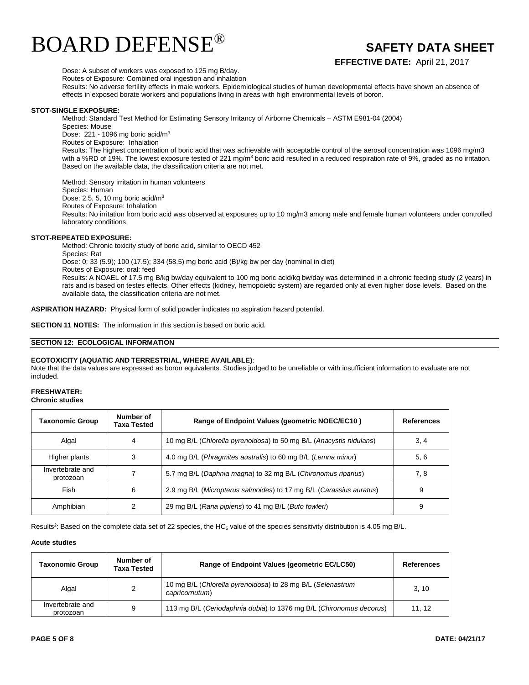

**EFFECTIVE DATE:** April 21, 2017

Dose: A subset of workers was exposed to 125 mg B/day.

Routes of Exposure: Combined oral ingestion and inhalation

Results: No adverse fertility effects in male workers. Epidemiological studies of human developmental effects have shown an absence of effects in exposed borate workers and populations living in areas with high environmental levels of boron.

# **STOT-SINGLE EXPOSURE:**

Method: Standard Test Method for Estimating Sensory Irritancy of Airborne Chemicals – ASTM E981-04 (2004)

Species: Mouse Dose: 221 - 1096 mg boric acid/m<sup>3</sup>

Routes of Exposure: Inhalation

Results: The highest concentration of boric acid that was achievable with acceptable control of the aerosol concentration was 1096 mg/m3 with a %RD of 19%. The lowest exposure tested of 221 mg/m<sup>3</sup> boric acid resulted in a reduced respiration rate of 9%, graded as no irritation. Based on the available data, the classification criteria are not met.

Method: Sensory irritation in human volunteers Species: Human Dose: 2.5, 5, 10 mg boric acid/m<sup>3</sup> Routes of Exposure: Inhalation Results: No irritation from boric acid was observed at exposures up to 10 mg/m3 among male and female human volunteers under controlled laboratory conditions.

## **STOT-REPEATED EXPOSURE:**

Method: Chronic toxicity study of boric acid, similar to OECD 452 Species: Rat Dose: 0; 33 (5.9); 100 (17.5); 334 (58.5) mg boric acid (B)/kg bw per day (nominal in diet) Routes of Exposure: oral: feed Results: A NOAEL of 17.5 mg B/kg bw/day equivalent to 100 mg boric acid/kg bw/day was determined in a chronic feeding study (2 years) in rats and is based on testes effects. Other effects (kidney, hemopoietic system) are regarded only at even higher dose levels. Based on the available data, the classification criteria are not met.

**ASPIRATION HAZARD:** Physical form of solid powder indicates no aspiration hazard potential.

**SECTION 11 NOTES:** The information in this section is based on boric acid.

### **SECTION 12: ECOLOGICAL INFORMATION**

# **ECOTOXICITY (AQUATIC AND TERRESTRIAL, WHERE AVAILABLE)**:

Note that the data values are expressed as boron equivalents. Studies judged to be unreliable or with insufficient information to evaluate are not included.

# **FRESHWATER:**

**Chronic studies**

| <b>Taxonomic Group</b>        | Number of<br><b>Taxa Tested</b> | Range of Endpoint Values (geometric NOEC/EC10)                      | References |
|-------------------------------|---------------------------------|---------------------------------------------------------------------|------------|
| Algal                         | 4                               | 10 mg B/L (Chlorella pyrenoidosa) to 50 mg B/L (Anacystis nidulans) | 3, 4       |
| Higher plants                 | 3                               | 4.0 mg B/L (Phragmites australis) to 60 mg B/L (Lemna minor)        | 5,6        |
| Invertebrate and<br>protozoan |                                 | 5.7 mg B/L (Daphnia magna) to 32 mg B/L (Chironomus riparius)       | 7, 8       |
| Fish                          | 6                               | 2.9 mg B/L (Micropterus salmoides) to 17 mg B/L (Carassius auratus) | 9          |
| Amphibian                     |                                 | 29 mg B/L (Rana pipiens) to 41 mg B/L (Bufo fowleri)                | 9          |

Results<sup>2</sup>: Based on the complete data set of 22 species, the HC<sub>5</sub> value of the species sensitivity distribution is 4.05 mg B/L.

#### **Acute studies**

| Taxonomic Group               | Number of<br>Taxa Tested | Range of Endpoint Values (geometric EC/LC50)                                  | <b>References</b> |
|-------------------------------|--------------------------|-------------------------------------------------------------------------------|-------------------|
| Algal                         | 2                        | 10 mg B/L (Chlorella pyrenoidosa) to 28 mg B/L (Selenastrum<br>capricornutum) | 3.10              |
| Invertebrate and<br>protozoan | 9                        | 113 mg B/L (Ceriodaphnia dubia) to 1376 mg B/L (Chironomus decorus)           | 11.12             |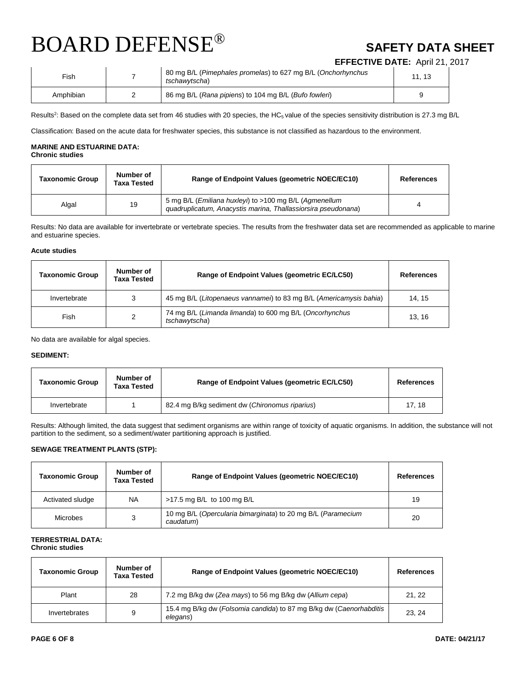**EFFECTIVE DATE:** April 21, 2017

| Fish      | 80 mg B/L (Pimephales promelas) to 627 mg B/L (Onchorhynchus<br>tschawvtscha) | 11.13 |
|-----------|-------------------------------------------------------------------------------|-------|
| Amphibian | 86 mg B/L (Rana pipiens) to 104 mg B/L (Bufo fowleri)                         | u     |

Results<sup>2</sup>: Based on the complete data set from 46 studies with 20 species, the HC<sub>5</sub> value of the species sensitivity distribution is 27.3 mg B/L

Classification: Based on the acute data for freshwater species, this substance is not classified as hazardous to the environment.

# **MARINE AND ESTUARINE DATA: Chronic studies**

| Taxonomic Group | Number of<br><b>Taxa Tested</b> | Range of Endpoint Values (geometric NOEC/EC10)                                                                          | <b>References</b> |
|-----------------|---------------------------------|-------------------------------------------------------------------------------------------------------------------------|-------------------|
| Algal           | 19                              | 5 mg B/L (Emiliana huxleyi) to >100 mg B/L (Agmenellum<br>guadruplicatum, Anacystis marina, Thallassiorsira pseudonana) | 4                 |

Results: No data are available for invertebrate or vertebrate species. The results from the freshwater data set are recommended as applicable to marine and estuarine species.

# **Acute studies**

| <b>Taxonomic Group</b> | Number of<br><b>Taxa Tested</b> | Range of Endpoint Values (geometric EC/LC50)                             | <b>References</b> |
|------------------------|---------------------------------|--------------------------------------------------------------------------|-------------------|
| Invertebrate           | 3                               | 45 mg B/L (Litopenaeus vannamei) to 83 mg B/L (Americamysis bahia)       | 14.15             |
| Fish                   | 2                               | 74 mg B/L (Limanda limanda) to 600 mg B/L (Oncorhynchus<br>tschawytscha) | 13.16             |

No data are available for algal species.

# **SEDIMENT:**

| <b>Taxonomic Group</b> | Number of<br><b>Taxa Tested</b> | Range of Endpoint Values (geometric EC/LC50)   | <b>References</b> |
|------------------------|---------------------------------|------------------------------------------------|-------------------|
| Invertebrate           |                                 | 82.4 mg B/kg sediment dw (Chironomus riparius) | 17.18             |

Results: Although limited, the data suggest that sediment organisms are within range of toxicity of aquatic organisms. In addition, the substance will not partition to the sediment, so a sediment/water partitioning approach is justified.

# **SEWAGE TREATMENT PLANTS (STP):**

| <b>Taxonomic Group</b> | Number of<br>Taxa Tested | Range of Endpoint Values (geometric NOEC/EC10)                            | <b>References</b> |
|------------------------|--------------------------|---------------------------------------------------------------------------|-------------------|
| Activated sludge       | <b>NA</b>                | >17.5 mg B/L to 100 mg B/L                                                | 19                |
| Microbes               | 3                        | 10 mg B/L (Opercularia bimarginata) to 20 mg B/L (Paramecium<br>caudatum) | 20                |

# **TERRESTRIAL DATA: Chronic studies**

| <b>Taxonomic Group</b> | Number of<br>Taxa Tested | Range of Endpoint Values (geometric NOEC/EC10)                                  | <b>References</b> |
|------------------------|--------------------------|---------------------------------------------------------------------------------|-------------------|
| Plant                  | 28                       | 7.2 mg B/kg dw (Zea mays) to 56 mg B/kg dw (Allium cepa)                        | 21, 22            |
| Invertebrates          | 9                        | 15.4 mg B/kg dw (Folsomia candida) to 87 mg B/kg dw (Caenorhabditis<br>elegans) | 23, 24            |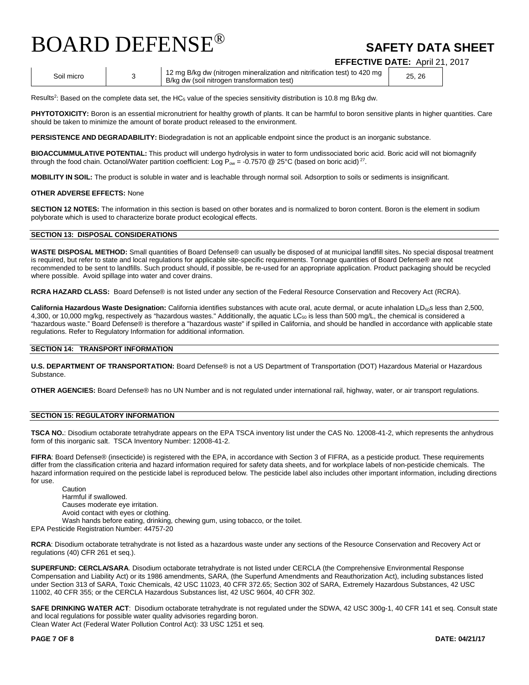**EFFECTIVE DATE:** April 21, 2017

Soil micro 3 12 mg B/kg dw (nitrogen mineralization and nitrification test) to 420 mg 12 mg B/kg dw (nitrogen mineralization and nitrification test) to 420 mg<br>B/kg dw (soil nitrogen transformation test)

Results<sup>2</sup>: Based on the complete data set, the HC<sub>5</sub> value of the species sensitivity distribution is 10.8 mg B/kg dw.

PHYTOTOXICITY: Boron is an essential micronutrient for healthy growth of plants. It can be harmful to boron sensitive plants in higher quantities. Care should be taken to minimize the amount of borate product released to the environment.

**PERSISTENCE AND DEGRADABILITY:** Biodegradation is not an applicable endpoint since the product is an inorganic substance.

**BIOACCUMMULATIVE POTENTIAL:** This product will undergo hydrolysis in water to form undissociated boric acid. Boric acid will not biomagnify through the food chain. Octanol/Water partition coefficient: Log  $P_{ow} = -0.7570$  @ 25°C (based on boric acid)<sup>27</sup>.

**MOBILITY IN SOIL:** The product is soluble in water and is leachable through normal soil. Adsorption to soils or sediments is insignificant.

#### **OTHER ADVERSE EFFECTS:** None

**SECTION 12 NOTES:** The information in this section is based on other borates and is normalized to boron content. Boron is the element in sodium polyborate which is used to characterize borate product ecological effects.

# **SECTION 13: DISPOSAL CONSIDERATIONS**

**WASTE DISPOSAL METHOD:** Small quantities of Board Defense® can usually be disposed of at municipal landfill sites**.** No special disposal treatment is required, but refer to state and local regulations for applicable site-specific requirements. Tonnage quantities of Board Defense® are not recommended to be sent to landfills. Such product should, if possible, be re-used for an appropriate application. Product packaging should be recycled where possible. Avoid spillage into water and cover drains.

**RCRA HAZARD CLASS:** Board Defense® is not listed under any section of the Federal Resource Conservation and Recovery Act (RCRA).

California Hazardous Waste Designation: California identifies substances with acute oral, acute dermal, or acute inhalation LD<sub>50</sub>s less than 2,500, 4,300, or 10,000 mg/kg, respectively as "hazardous wastes." Additionally, the aquatic  $LC_{50}$  is less than 500 mg/L, the chemical is considered a "hazardous waste." Board Defense® is therefore a "hazardous waste" if spilled in California, and should be handled in accordance with applicable state regulations. Refer to Regulatory Information for additional information.

### **SECTION 14: TRANSPORT INFORMATION**

**U.S. DEPARTMENT OF TRANSPORTATION:** Board Defense® is not a US Department of Transportation (DOT) Hazardous Material or Hazardous Substance.

**OTHER AGENCIES:** Board Defense® has no UN Number and is not regulated under international rail, highway, water, or air transport regulations.

# **SECTION 15: REGULATORY INFORMATION**

**TSCA NO.**: Disodium octaborate tetrahydrate appears on the EPA TSCA inventory list under the CAS No. 12008-41-2, which represents the anhydrous form of this inorganic salt. TSCA Inventory Number: 12008-41-2.

**FIFRA**: Board Defense® (insecticide) is registered with the EPA, in accordance with Section 3 of FIFRA, as a pesticide product. These requirements differ from the classification criteria and hazard information required for safety data sheets, and for workplace labels of non-pesticide chemicals. The hazard information required on the pesticide label is reproduced below. The pesticide label also includes other important information, including directions for use.

Caution Harmful if swallowed. Causes moderate eye irritation. Avoid contact with eyes or clothing. Wash hands before eating, drinking, chewing gum, using tobacco, or the toilet.

EPA Pesticide Registration Number: 44757-20

**RCRA**: Disodium octaborate tetrahydrate is not listed as a hazardous waste under any sections of the Resource Conservation and Recovery Act or regulations (40) CFR 261 et seq.).

**SUPERFUND: CERCLA/SARA**. Disodium octaborate tetrahydrate is not listed under CERCLA (the Comprehensive Environmental Response Compensation and Liability Act) or its 1986 amendments, SARA, (the Superfund Amendments and Reauthorization Act), including substances listed under Section 313 of SARA, Toxic Chemicals, 42 USC 11023, 40 CFR 372.65; Section 302 of SARA, Extremely Hazardous Substances, 42 USC 11002, 40 CFR 355; or the CERCLA Hazardous Substances list, 42 USC 9604, 40 CFR 302.

**SAFE DRINKING WATER ACT**: Disodium octaborate tetrahydrate is not regulated under the SDWA, 42 USC 300g-1, 40 CFR 141 et seq. Consult state and local regulations for possible water quality advisories regarding boron. Clean Water Act (Federal Water Pollution Control Act): 33 USC 1251 et seq.